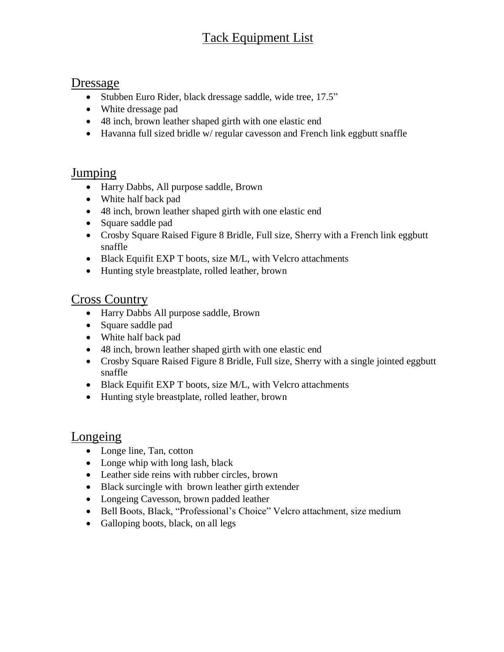# Tack Equipment List

#### Dressage

- Stubben Euro Rider, black dressage saddle, wide tree, 17.5"
- White dressage pad
- 48 inch, brown leather shaped girth with one elastic end
- Havanna full sized bridle w/ regular cavesson and French link eggbutt snaffle

#### Jumping

- Harry Dabbs, All purpose saddle, Brown
- White half back pad
- 48 inch, brown leather shaped girth with one elastic end
- Square saddle pad
- Crosby Square Raised Figure 8 Bridle, Full size, Sherry with a French link eggbutt snaffle
- Black Equifit EXP T boots, size M/L, with Velcro attachments
- Hunting style breastplate, rolled leather, brown

#### Cross Country

- Harry Dabbs All purpose saddle, Brown
- Square saddle pad
- White half back pad
- 48 inch, brown leather shaped girth with one elastic end
- Crosby Square Raised Figure 8 Bridle, Full size, Sherry with a single jointed eggbutt snaffle
- Black Equifit EXP T boots, size M/L, with Velcro attachments
- Hunting style breastplate, rolled leather, brown

#### Longeing

- Longe line, Tan, cotton
- Longe whip with long lash, black
- Leather side reins with rubber circles, brown
- Black surcingle with brown leather girth extender
- Longeing Cavesson, brown padded leather
- Bell Boots, Black, "Professional's Choice" Velcro attachment, size medium
- Galloping boots, black, on all legs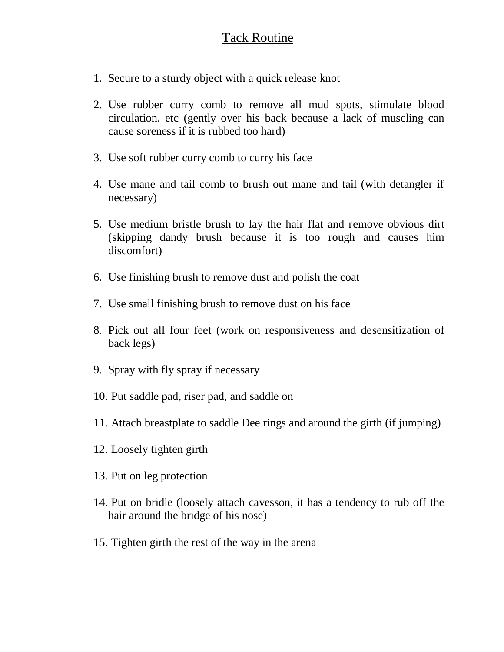### Tack Routine

- 1. Secure to a sturdy object with a quick release knot
- 2. Use rubber curry comb to remove all mud spots, stimulate blood circulation, etc (gently over his back because a lack of muscling can cause soreness if it is rubbed too hard)
- 3. Use soft rubber curry comb to curry his face
- 4. Use mane and tail comb to brush out mane and tail (with detangler if necessary)
- 5. Use medium bristle brush to lay the hair flat and remove obvious dirt (skipping dandy brush because it is too rough and causes him discomfort)
- 6. Use finishing brush to remove dust and polish the coat
- 7. Use small finishing brush to remove dust on his face
- 8. Pick out all four feet (work on responsiveness and desensitization of back legs)
- 9. Spray with fly spray if necessary
- 10. Put saddle pad, riser pad, and saddle on
- 11. Attach breastplate to saddle Dee rings and around the girth (if jumping)
- 12. Loosely tighten girth
- 13. Put on leg protection
- 14. Put on bridle (loosely attach cavesson, it has a tendency to rub off the hair around the bridge of his nose)
- 15. Tighten girth the rest of the way in the arena